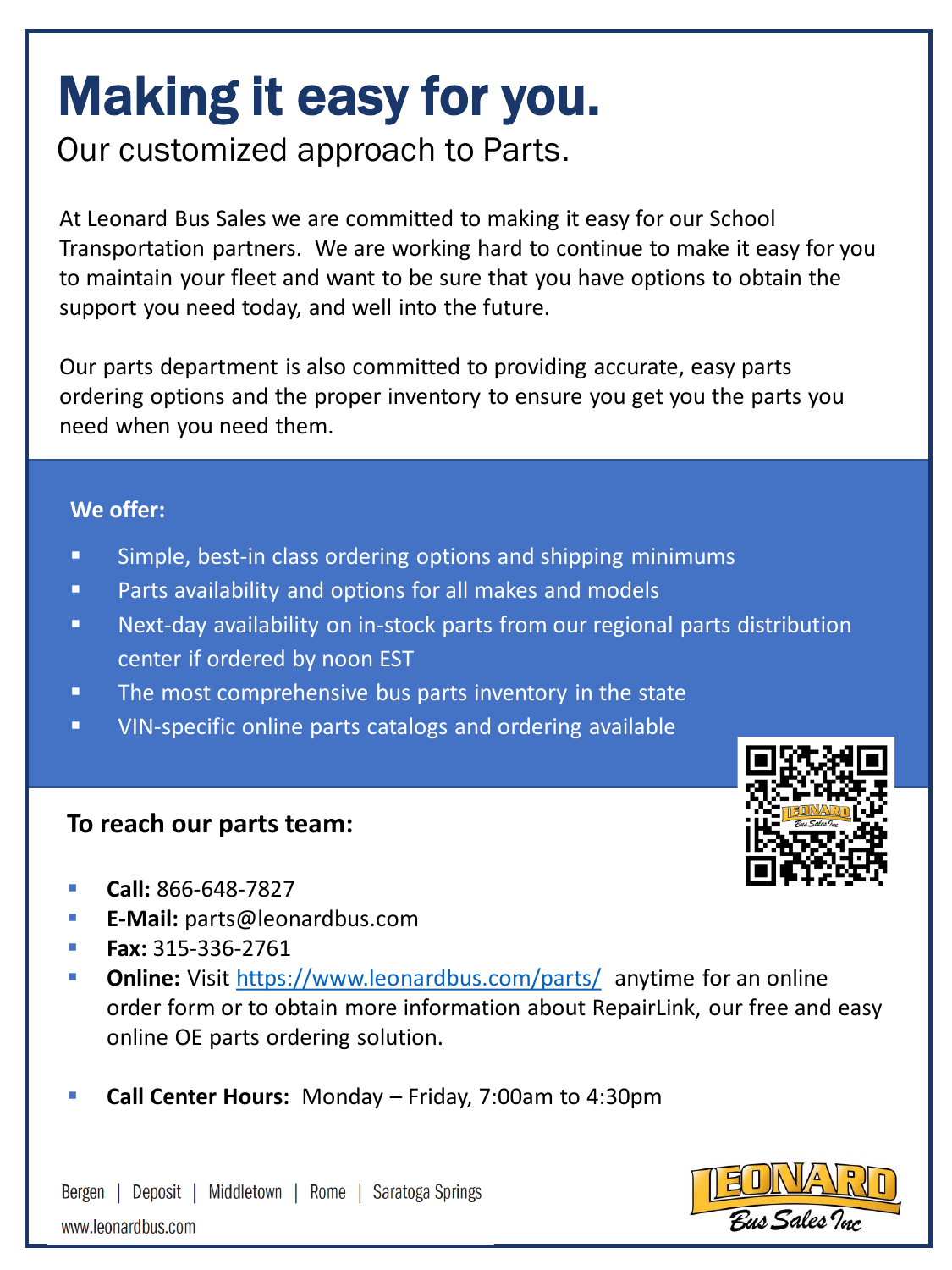## Making it easy for you.

Our customized approach to Parts.

At Leonard Bus Sales we are committed to making it easy for our School Transportation partners. We are working hard to continue to make it easy for you to maintain your fleet and want to be sure that you have options to obtain the support you need today, and well into the future.

Our parts department is also committed to providing accurate, easy parts ordering options and the proper inventory to ensure you get you the parts you need when you need them.

### **We offer:**

- **EXEDEN** Simple, best-in class ordering options and shipping minimums
- Parts availability and options for all makes and models
- Next-day availability on in-stock parts from our regional parts distribution center if ordered by noon EST
- The most comprehensive bus parts inventory in the state
- VIN-specific online parts catalogs and ordering available

## **To reach our parts team:**

- **Call:** 866-648-7827
- **E-Mail:** parts@leonardbus.com
- **Fax:** 315-336-2761
- **Online:** Visit <https://www.leonardbus.com/parts/> anytime for an online order form or to obtain more information about RepairLink, our free and easy online OE parts ordering solution.
- **Call Center Hours:** Monday Friday, 7:00am to 4:30pm